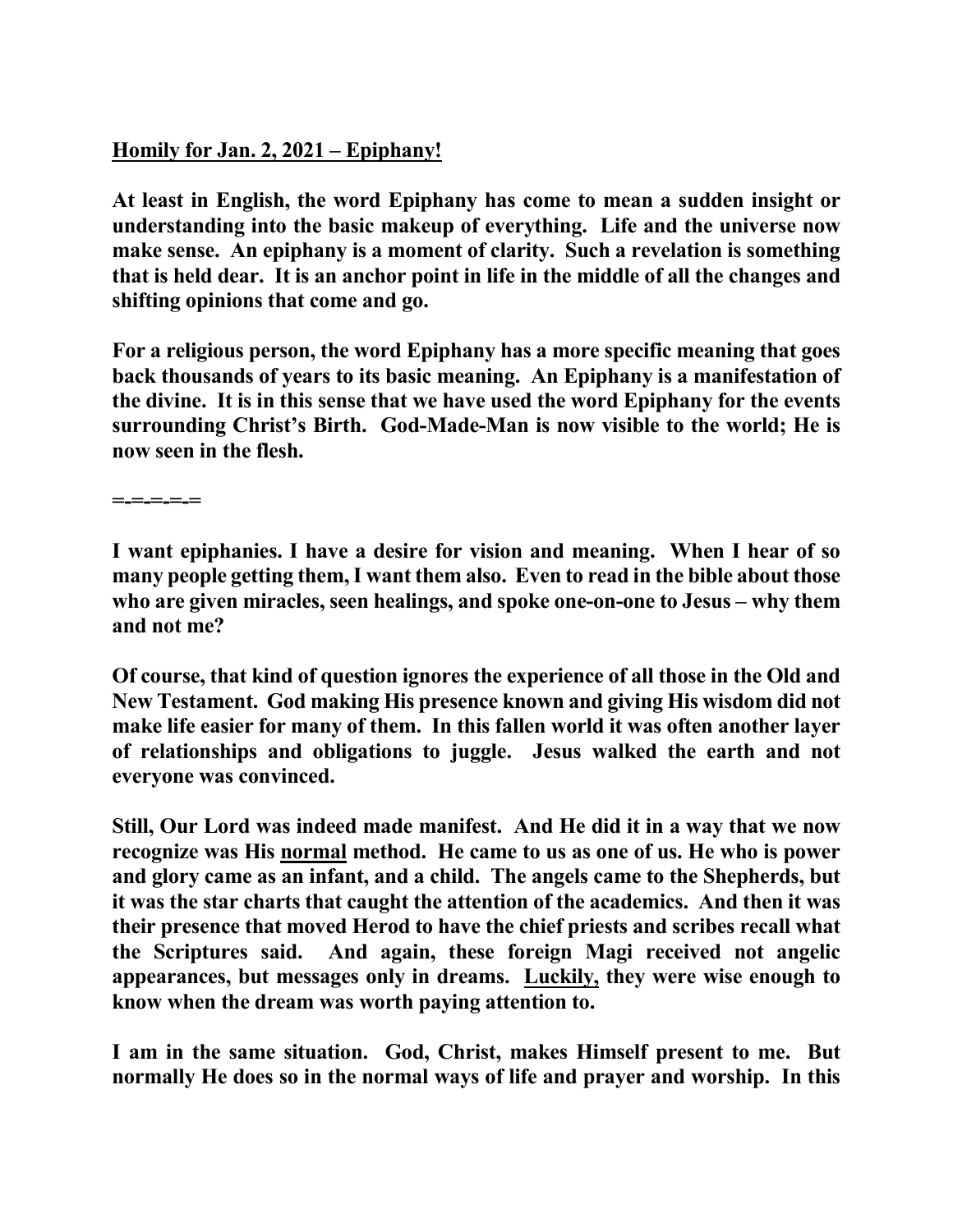## **Homily for Jan. 2, 2021 – Epiphany!**

**At least in English, the word Epiphany has come to mean a sudden insight or understanding into the basic makeup of everything. Life and the universe now make sense. An epiphany is a moment of clarity. Such a revelation is something that is held dear. It is an anchor point in life in the middle of all the changes and shifting opinions that come and go.** 

**For a religious person, the word Epiphany has a more specific meaning that goes back thousands of years to its basic meaning. An Epiphany is a manifestation of the divine. It is in this sense that we have used the word Epiphany for the events surrounding Christ's Birth. God-Made-Man is now visible to the world; He is now seen in the flesh.** 

**=-=-=-=-=** 

**I want epiphanies. I have a desire for vision and meaning. When I hear of so many people getting them, I want them also. Even to read in the bible about those who are given miracles, seen healings, and spoke one-on-one to Jesus – why them and not me?** 

**Of course, that kind of question ignores the experience of all those in the Old and New Testament. God making His presence known and giving His wisdom did not make life easier for many of them. In this fallen world it was often another layer of relationships and obligations to juggle. Jesus walked the earth and not everyone was convinced.** 

**Still, Our Lord was indeed made manifest. And He did it in a way that we now recognize was His normal method. He came to us as one of us. He who is power and glory came as an infant, and a child. The angels came to the Shepherds, but it was the star charts that caught the attention of the academics. And then it was their presence that moved Herod to have the chief priests and scribes recall what the Scriptures said. And again, these foreign Magi received not angelic appearances, but messages only in dreams. Luckily, they were wise enough to know when the dream was worth paying attention to.** 

**I am in the same situation. God, Christ, makes Himself present to me. But normally He does so in the normal ways of life and prayer and worship. In this**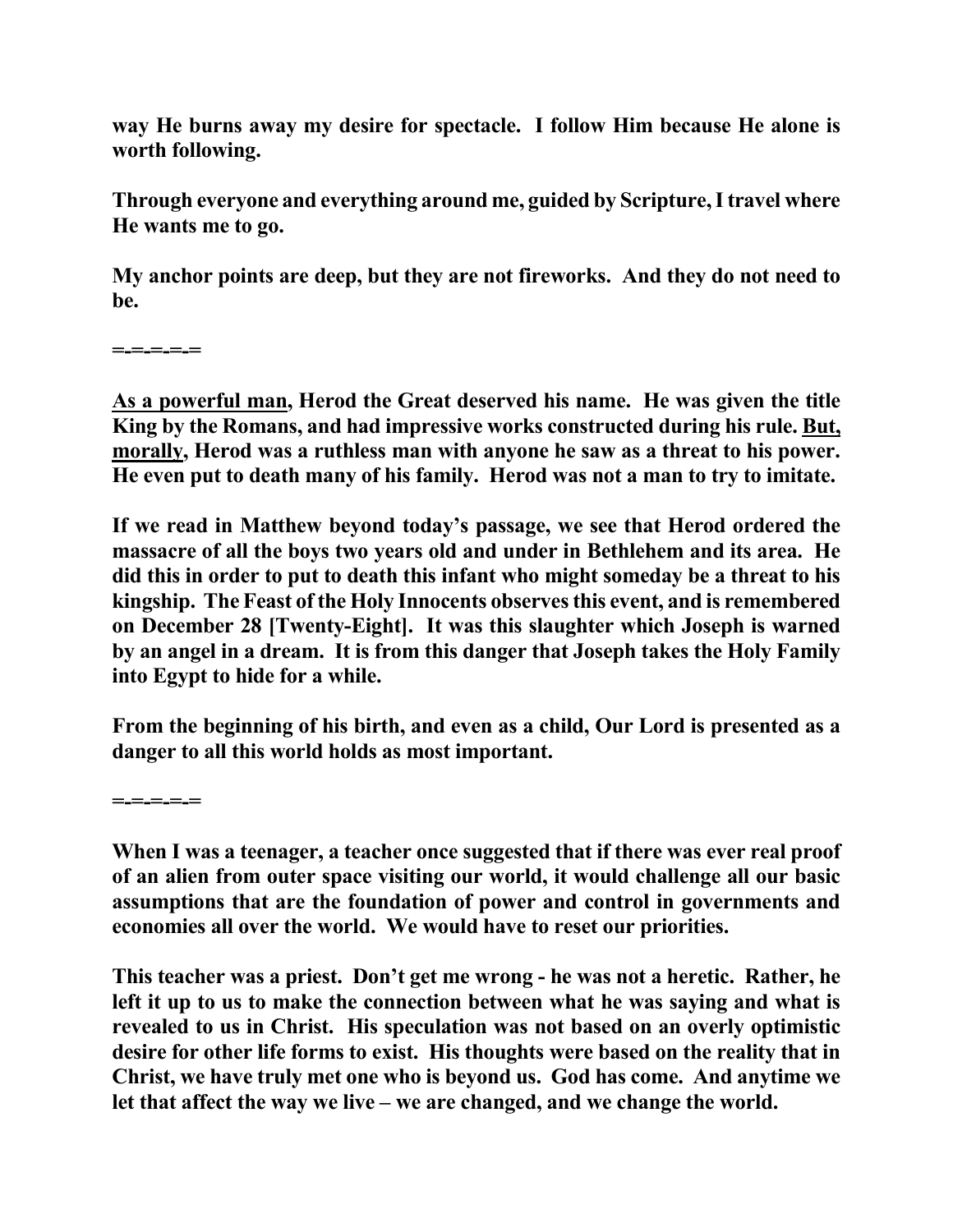**way He burns away my desire for spectacle. I follow Him because He alone is worth following.** 

**Through everyone and everything around me, guided by Scripture, I travel where He wants me to go.** 

**My anchor points are deep, but they are not fireworks. And they do not need to be.** 

**=-=-=-=-=** 

**As a powerful man, Herod the Great deserved his name. He was given the title King by the Romans, and had impressive works constructed during his rule. But, morally, Herod was a ruthless man with anyone he saw as a threat to his power. He even put to death many of his family. Herod was not a man to try to imitate.** 

**If we read in Matthew beyond today's passage, we see that Herod ordered the massacre of all the boys two years old and under in Bethlehem and its area. He did this in order to put to death this infant who might someday be a threat to his kingship. The Feast of the Holy Innocents observes this event, and is remembered on December 28 [Twenty-Eight]. It was this slaughter which Joseph is warned by an angel in a dream. It is from this danger that Joseph takes the Holy Family into Egypt to hide for a while.** 

**From the beginning of his birth, and even as a child, Our Lord is presented as a danger to all this world holds as most important.** 

**=-=-=-=-=** 

**When I was a teenager, a teacher once suggested that if there was ever real proof of an alien from outer space visiting our world, it would challenge all our basic assumptions that are the foundation of power and control in governments and economies all over the world. We would have to reset our priorities.** 

**This teacher was a priest. Don't get me wrong - he was not a heretic. Rather, he left it up to us to make the connection between what he was saying and what is revealed to us in Christ. His speculation was not based on an overly optimistic desire for other life forms to exist. His thoughts were based on the reality that in Christ, we have truly met one who is beyond us. God has come. And anytime we let that affect the way we live – we are changed, and we change the world.**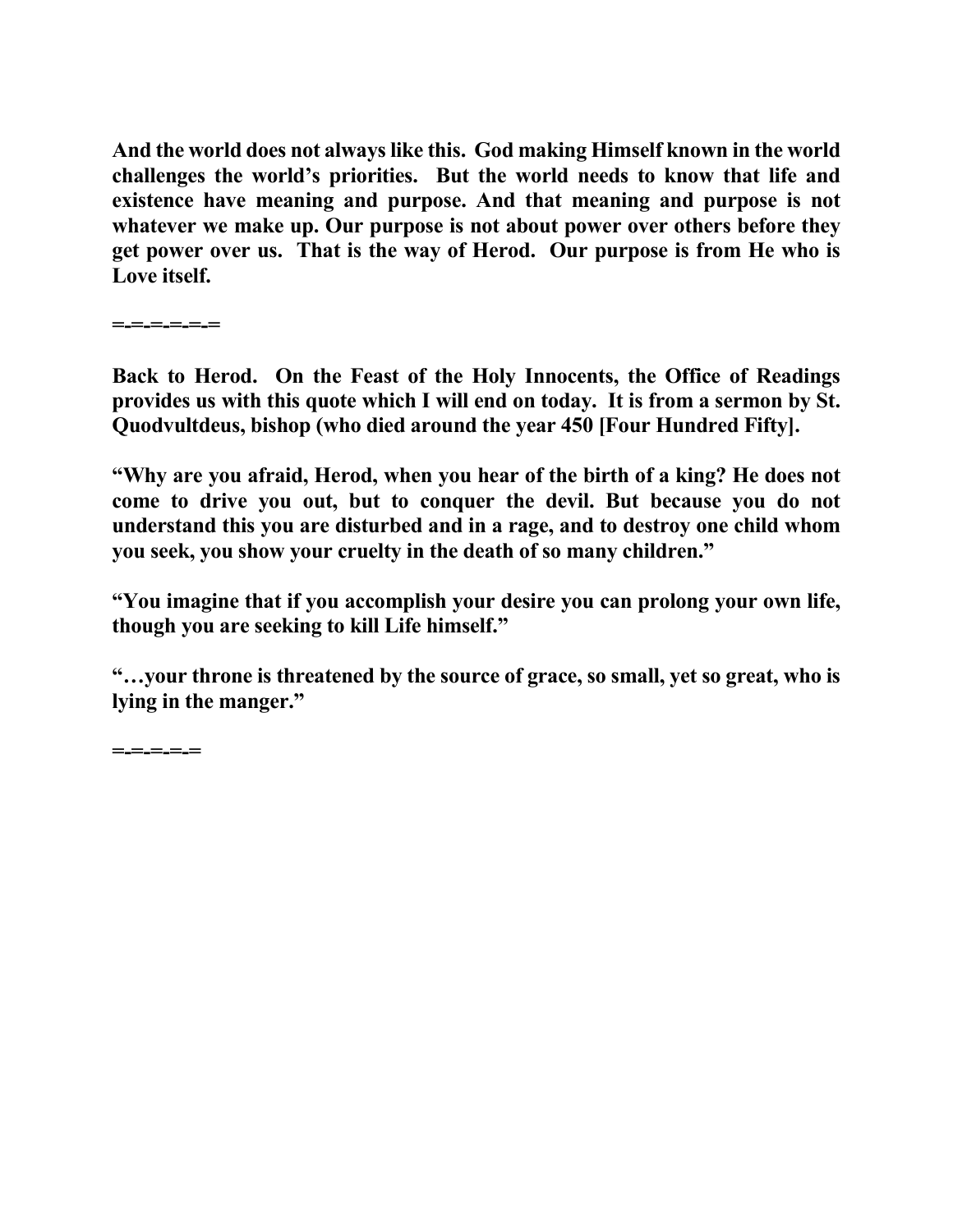**And the world does not always like this. God making Himself known in the world challenges the world's priorities. But the world needs to know that life and existence have meaning and purpose. And that meaning and purpose is not whatever we make up. Our purpose is not about power over others before they get power over us. That is the way of Herod. Our purpose is from He who is Love itself.** 

**=-=-=-=-=-=** 

**Back to Herod. On the Feast of the Holy Innocents, the Office of Readings provides us with this quote which I will end on today. It is from a sermon by St. Quodvultdeus, bishop (who died around the year 450 [Four Hundred Fifty].** 

**"Why are you afraid, Herod, when you hear of the birth of a king? He does not come to drive you out, but to conquer the devil. But because you do not understand this you are disturbed and in a rage, and to destroy one child whom you seek, you show your cruelty in the death of so many children."** 

**"You imagine that if you accomplish your desire you can prolong your own life, though you are seeking to kill Life himself."** 

**"…your throne is threatened by the source of grace, so small, yet so great, who is lying in the manger."** 

**=-=-=-=-=**